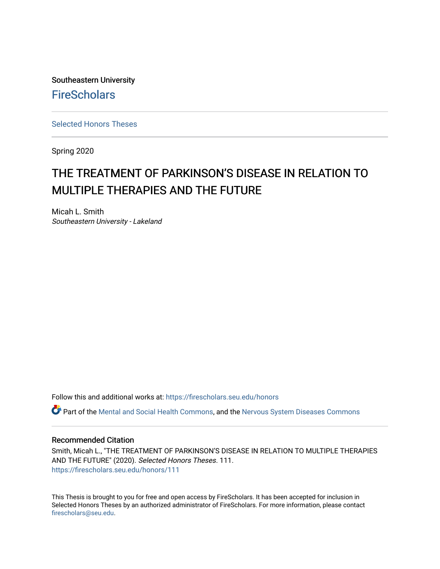Southeastern University **FireScholars** 

[Selected Honors Theses](https://firescholars.seu.edu/honors)

Spring 2020

# THE TREATMENT OF PARKINSON'S DISEASE IN RELATION TO MULTIPLE THERAPIES AND THE FUTURE

Micah L. Smith Southeastern University - Lakeland

Follow this and additional works at: [https://firescholars.seu.edu/honors](https://firescholars.seu.edu/honors?utm_source=firescholars.seu.edu%2Fhonors%2F111&utm_medium=PDF&utm_campaign=PDFCoverPages)

Part of the [Mental and Social Health Commons,](http://network.bepress.com/hgg/discipline/709?utm_source=firescholars.seu.edu%2Fhonors%2F111&utm_medium=PDF&utm_campaign=PDFCoverPages) and the [Nervous System Diseases Commons](http://network.bepress.com/hgg/discipline/928?utm_source=firescholars.seu.edu%2Fhonors%2F111&utm_medium=PDF&utm_campaign=PDFCoverPages)

#### Recommended Citation

Smith, Micah L., "THE TREATMENT OF PARKINSON'S DISEASE IN RELATION TO MULTIPLE THERAPIES AND THE FUTURE" (2020). Selected Honors Theses. 111. [https://firescholars.seu.edu/honors/111](https://firescholars.seu.edu/honors/111?utm_source=firescholars.seu.edu%2Fhonors%2F111&utm_medium=PDF&utm_campaign=PDFCoverPages)

This Thesis is brought to you for free and open access by FireScholars. It has been accepted for inclusion in Selected Honors Theses by an authorized administrator of FireScholars. For more information, please contact [firescholars@seu.edu.](mailto:firescholars@seu.edu)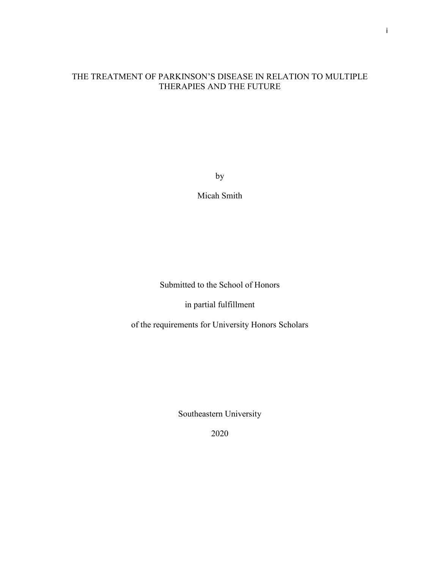# THE TREATMENT OF PARKINSON'S DISEASE IN RELATION TO MULTIPLE THERAPIES AND THE FUTURE

by

Micah Smith

Submitted to the School of Honors

in partial fulfillment

of the requirements for University Honors Scholars

Southeastern University

2020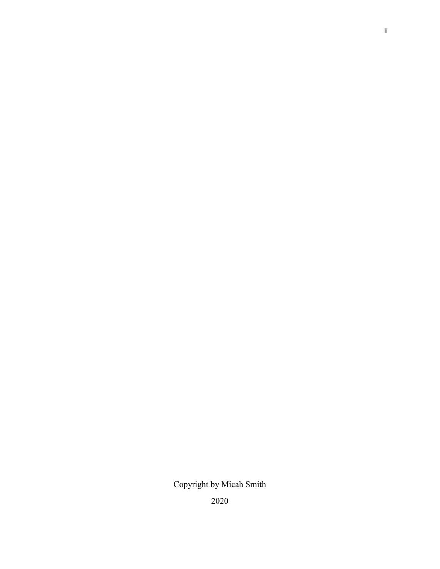Copyright by Micah Smith

2020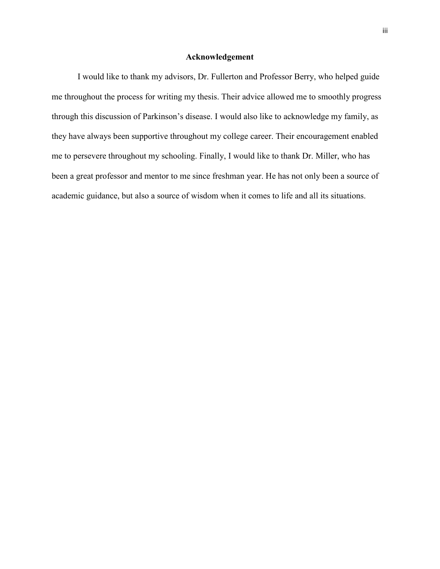#### **Acknowledgement**

I would like to thank my advisors, Dr. Fullerton and Professor Berry, who helped guide me throughout the process for writing my thesis. Their advice allowed me to smoothly progress through this discussion of Parkinson's disease. I would also like to acknowledge my family, as they have always been supportive throughout my college career. Their encouragement enabled me to persevere throughout my schooling. Finally, I would like to thank Dr. Miller, who has been a great professor and mentor to me since freshman year. He has not only been a source of academic guidance, but also a source of wisdom when it comes to life and all its situations.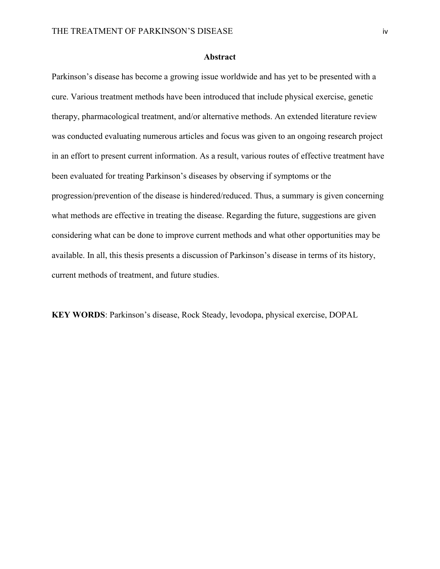#### **Abstract**

Parkinson's disease has become a growing issue worldwide and has yet to be presented with a cure. Various treatment methods have been introduced that include physical exercise, genetic therapy, pharmacological treatment, and/or alternative methods. An extended literature review was conducted evaluating numerous articles and focus was given to an ongoing research project in an effort to present current information. As a result, various routes of effective treatment have been evaluated for treating Parkinson's diseases by observing if symptoms or the progression/prevention of the disease is hindered/reduced. Thus, a summary is given concerning what methods are effective in treating the disease. Regarding the future, suggestions are given considering what can be done to improve current methods and what other opportunities may be available. In all, this thesis presents a discussion of Parkinson's disease in terms of its history, current methods of treatment, and future studies.

**KEY WORDS**: Parkinson's disease, Rock Steady, levodopa, physical exercise, DOPAL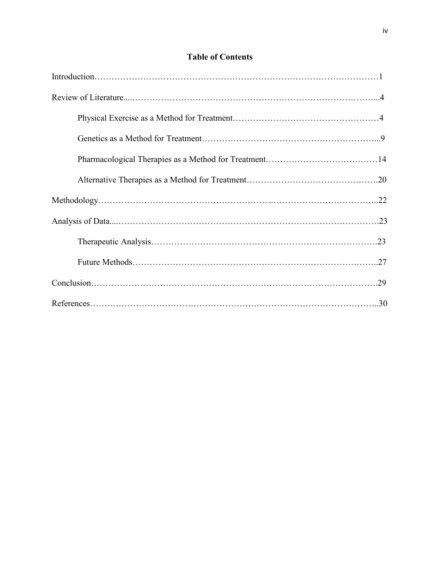# **Table of Contents**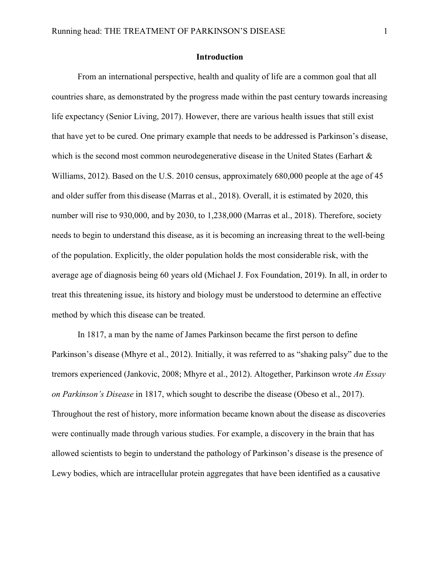#### **Introduction**

From an international perspective, health and quality of life are a common goal that all countries share, as demonstrated by the progress made within the past century towards increasing life expectancy (Senior Living, 2017). However, there are various health issues that still exist that have yet to be cured. One primary example that needs to be addressed is Parkinson's disease, which is the second most common neurodegenerative disease in the United States (Earhart & Williams, 2012). Based on the U.S. 2010 census, approximately 680,000 people at the age of 45 and older suffer from this disease (Marras et al., 2018). Overall, it is estimated by 2020, this number will rise to 930,000, and by 2030, to 1,238,000 (Marras et al., 2018). Therefore, society needs to begin to understand this disease, as it is becoming an increasing threat to the well-being of the population. Explicitly, the older population holds the most considerable risk, with the average age of diagnosis being 60 years old (Michael J. Fox Foundation, 2019). In all, in order to treat this threatening issue, its history and biology must be understood to determine an effective method by which this disease can be treated.

In 1817, a man by the name of James Parkinson became the first person to define Parkinson's disease (Mhyre et al., 2012). Initially, it was referred to as "shaking palsy" due to the tremors experienced (Jankovic, 2008; Mhyre et al., 2012). Altogether, Parkinson wrote *An Essay on Parkinson's Disease* in 1817, which sought to describe the disease (Obeso et al., 2017). Throughout the rest of history, more information became known about the disease as discoveries were continually made through various studies. For example, a discovery in the brain that has allowed scientists to begin to understand the pathology of Parkinson's disease is the presence of Lewy bodies, which are intracellular protein aggregates that have been identified as a causative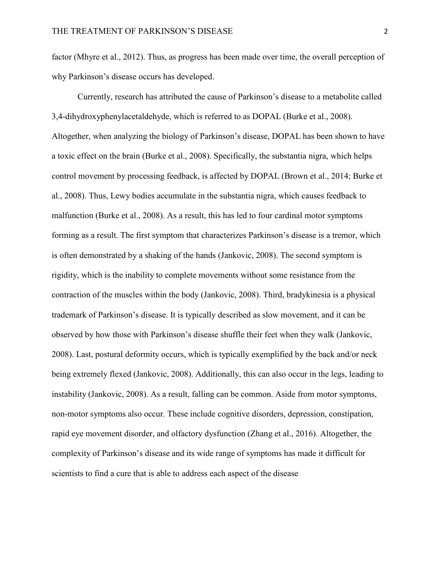factor (Mhyre et al., 2012). Thus, as progress has been made over time, the overall perception of why Parkinson's disease occurs has developed.

Currently, research has attributed the cause of Parkinson's disease to a metabolite called 3,4-dihydroxyphenylacetaldehyde, which is referred to as DOPAL (Burke et al., 2008). Altogether, when analyzing the biology of Parkinson's disease, DOPAL has been shown to have a toxic effect on the brain (Burke et al., 2008). Specifically, the substantia nigra, which helps control movement by processing feedback, is affected by DOPAL (Brown et al., 2014; Burke et al., 2008). Thus, Lewy bodies accumulate in the substantia nigra, which causes feedback to malfunction (Burke et al., 2008). As a result, this has led to four cardinal motor symptoms forming as a result. The first symptom that characterizes Parkinson's disease is a tremor, which is often demonstrated by a shaking of the hands (Jankovic, 2008). The second symptom is rigidity, which is the inability to complete movements without some resistance from the contraction of the muscles within the body (Jankovic, 2008). Third, bradykinesia is a physical trademark of Parkinson's disease. It is typically described as slow movement, and it can be observed by how those with Parkinson's disease shuffle their feet when they walk (Jankovic, 2008). Last, postural deformity occurs, which is typically exemplified by the back and/or neck being extremely flexed (Jankovic, 2008). Additionally, this can also occur in the legs, leading to instability (Jankovic, 2008). As a result, falling can be common. Aside from motor symptoms, non-motor symptoms also occur. These include cognitive disorders, depression, constipation, rapid eye movement disorder, and olfactory dysfunction (Zhang et al., 2016). Altogether, the complexity of Parkinson's disease and its wide range of symptoms has made it difficult for scientists to find a cure that is able to address each aspect of the disease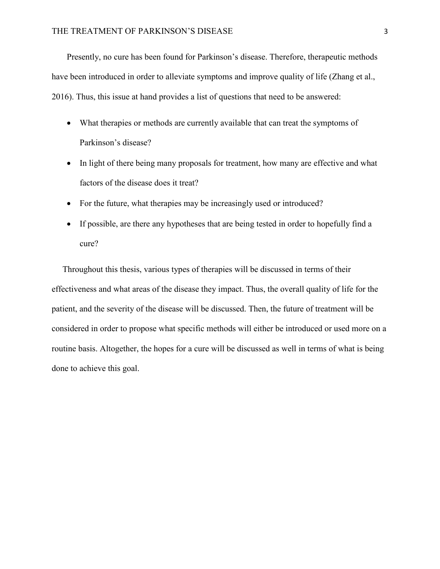Presently, no cure has been found for Parkinson's disease. Therefore, therapeutic methods have been introduced in order to alleviate symptoms and improve quality of life (Zhang et al., 2016). Thus, this issue at hand provides a list of questions that need to be answered:

- What therapies or methods are currently available that can treat the symptoms of Parkinson's disease?
- In light of there being many proposals for treatment, how many are effective and what factors of the disease does it treat?
- For the future, what therapies may be increasingly used or introduced?
- If possible, are there any hypotheses that are being tested in order to hopefully find a cure?

Throughout this thesis, various types of therapies will be discussed in terms of their effectiveness and what areas of the disease they impact. Thus, the overall quality of life for the patient, and the severity of the disease will be discussed. Then, the future of treatment will be considered in order to propose what specific methods will either be introduced or used more on a routine basis. Altogether, the hopes for a cure will be discussed as well in terms of what is being done to achieve this goal.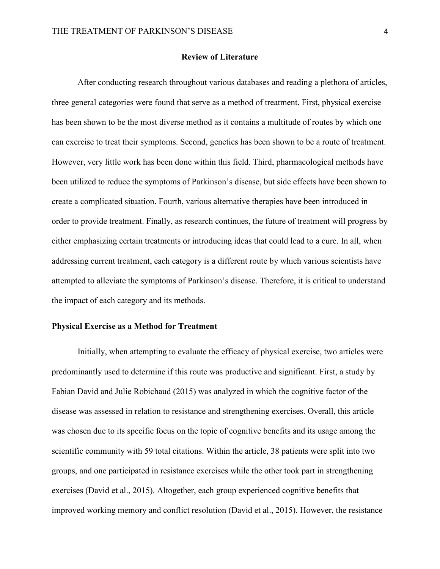# **Review of Literature**

After conducting research throughout various databases and reading a plethora of articles, three general categories were found that serve as a method of treatment. First, physical exercise has been shown to be the most diverse method as it contains a multitude of routes by which one can exercise to treat their symptoms. Second, genetics has been shown to be a route of treatment. However, very little work has been done within this field. Third, pharmacological methods have been utilized to reduce the symptoms of Parkinson's disease, but side effects have been shown to create a complicated situation. Fourth, various alternative therapies have been introduced in order to provide treatment. Finally, as research continues, the future of treatment will progress by either emphasizing certain treatments or introducing ideas that could lead to a cure. In all, when addressing current treatment, each category is a different route by which various scientists have attempted to alleviate the symptoms of Parkinson's disease. Therefore, it is critical to understand the impact of each category and its methods.

# **Physical Exercise as a Method for Treatment**

Initially, when attempting to evaluate the efficacy of physical exercise, two articles were predominantly used to determine if this route was productive and significant. First, a study by Fabian David and Julie Robichaud (2015) was analyzed in which the cognitive factor of the disease was assessed in relation to resistance and strengthening exercises. Overall, this article was chosen due to its specific focus on the topic of cognitive benefits and its usage among the scientific community with 59 total citations. Within the article, 38 patients were split into two groups, and one participated in resistance exercises while the other took part in strengthening exercises (David et al., 2015). Altogether, each group experienced cognitive benefits that improved working memory and conflict resolution (David et al., 2015). However, the resistance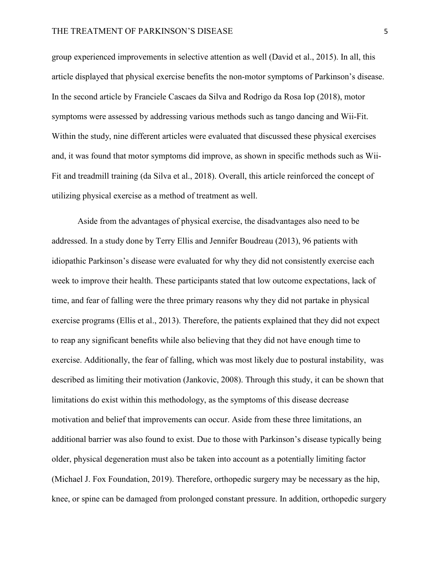group experienced improvements in selective attention as well (David et al., 2015). In all, this article displayed that physical exercise benefits the non-motor symptoms of Parkinson's disease. In the second article by Franciele Cascaes da Silva and Rodrigo da Rosa Iop (2018), motor symptoms were assessed by addressing various methods such as tango dancing and Wii-Fit. Within the study, nine different articles were evaluated that discussed these physical exercises and, it was found that motor symptoms did improve, as shown in specific methods such as Wii-Fit and treadmill training (da Silva et al., 2018). Overall, this article reinforced the concept of utilizing physical exercise as a method of treatment as well.

Aside from the advantages of physical exercise, the disadvantages also need to be addressed. In a study done by Terry Ellis and Jennifer Boudreau (2013), 96 patients with idiopathic Parkinson's disease were evaluated for why they did not consistently exercise each week to improve their health. These participants stated that low outcome expectations, lack of time, and fear of falling were the three primary reasons why they did not partake in physical exercise programs (Ellis et al., 2013). Therefore, the patients explained that they did not expect to reap any significant benefits while also believing that they did not have enough time to exercise. Additionally, the fear of falling, which was most likely due to postural instability, was described as limiting their motivation (Jankovic, 2008). Through this study, it can be shown that limitations do exist within this methodology, as the symptoms of this disease decrease motivation and belief that improvements can occur. Aside from these three limitations, an additional barrier was also found to exist. Due to those with Parkinson's disease typically being older, physical degeneration must also be taken into account as a potentially limiting factor (Michael J. Fox Foundation, 2019). Therefore, orthopedic surgery may be necessary as the hip, knee, or spine can be damaged from prolonged constant pressure. In addition, orthopedic surgery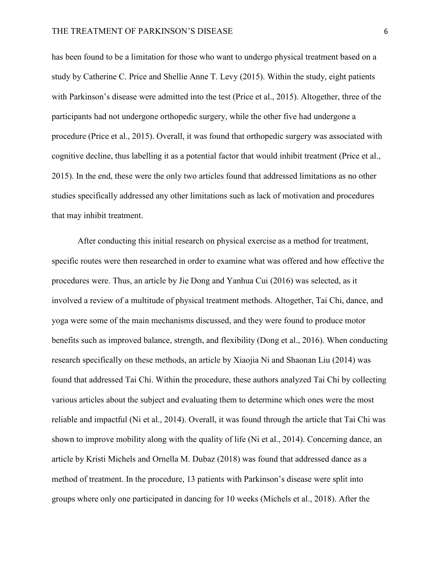has been found to be a limitation for those who want to undergo physical treatment based on a study by Catherine C. Price and Shellie Anne T. Levy (2015). Within the study, eight patients with Parkinson's disease were admitted into the test (Price et al., 2015). Altogether, three of the participants had not undergone orthopedic surgery, while the other five had undergone a procedure (Price et al., 2015). Overall, it was found that orthopedic surgery was associated with cognitive decline, thus labelling it as a potential factor that would inhibit treatment (Price et al., 2015). In the end, these were the only two articles found that addressed limitations as no other studies specifically addressed any other limitations such as lack of motivation and procedures that may inhibit treatment.

After conducting this initial research on physical exercise as a method for treatment, specific routes were then researched in order to examine what was offered and how effective the procedures were. Thus, an article by Jie Dong and Yanhua Cui (2016) was selected, as it involved a review of a multitude of physical treatment methods. Altogether, Tai Chi, dance, and yoga were some of the main mechanisms discussed, and they were found to produce motor benefits such as improved balance, strength, and flexibility (Dong et al., 2016). When conducting research specifically on these methods, an article by Xiaojia Ni and Shaonan Liu (2014) was found that addressed Tai Chi. Within the procedure, these authors analyzed Tai Chi by collecting various articles about the subject and evaluating them to determine which ones were the most reliable and impactful (Ni et al., 2014). Overall, it was found through the article that Tai Chi was shown to improve mobility along with the quality of life (Ni et al., 2014). Concerning dance, an article by Kristi Michels and Ornella M. Dubaz (2018) was found that addressed dance as a method of treatment. In the procedure, 13 patients with Parkinson's disease were split into groups where only one participated in dancing for 10 weeks (Michels et al., 2018). After the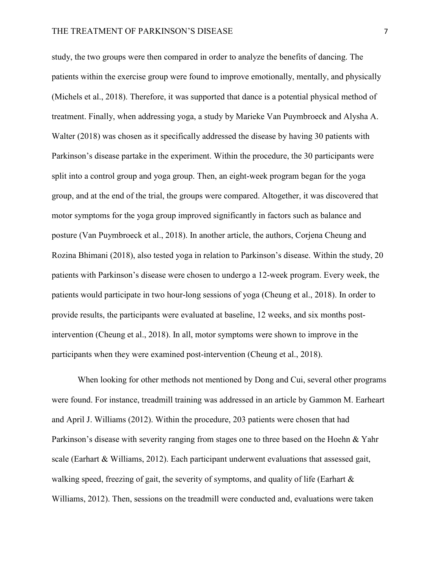study, the two groups were then compared in order to analyze the benefits of dancing. The patients within the exercise group were found to improve emotionally, mentally, and physically (Michels et al., 2018). Therefore, it was supported that dance is a potential physical method of treatment. Finally, when addressing yoga, a study by Marieke Van Puymbroeck and Alysha A. Walter (2018) was chosen as it specifically addressed the disease by having 30 patients with Parkinson's disease partake in the experiment. Within the procedure, the 30 participants were split into a control group and yoga group. Then, an eight-week program began for the yoga group, and at the end of the trial, the groups were compared. Altogether, it was discovered that motor symptoms for the yoga group improved significantly in factors such as balance and posture (Van Puymbroeck et al., 2018). In another article, the authors, Corjena Cheung and Rozina Bhimani (2018), also tested yoga in relation to Parkinson's disease. Within the study, 20 patients with Parkinson's disease were chosen to undergo a 12-week program. Every week, the patients would participate in two hour-long sessions of yoga (Cheung et al., 2018). In order to provide results, the participants were evaluated at baseline, 12 weeks, and six months postintervention (Cheung et al., 2018). In all, motor symptoms were shown to improve in the participants when they were examined post-intervention (Cheung et al., 2018).

When looking for other methods not mentioned by Dong and Cui, several other programs were found. For instance, treadmill training was addressed in an article by Gammon M. Earheart and April J. Williams (2012). Within the procedure, 203 patients were chosen that had Parkinson's disease with severity ranging from stages one to three based on the Hoehn & Yahr scale (Earhart  $&$  Williams, 2012). Each participant underwent evaluations that assessed gait, walking speed, freezing of gait, the severity of symptoms, and quality of life (Earhart & Williams, 2012). Then, sessions on the treadmill were conducted and, evaluations were taken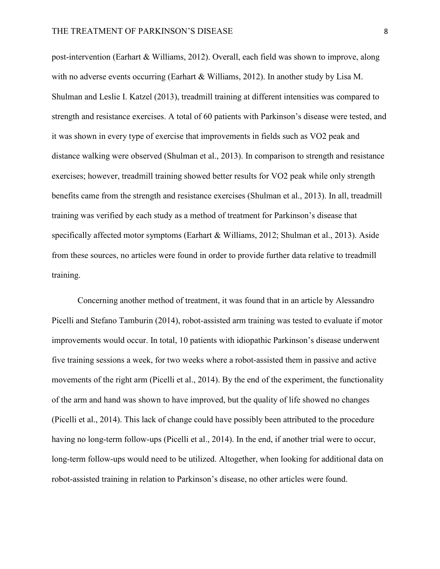post-intervention (Earhart & Williams, 2012). Overall, each field was shown to improve, along with no adverse events occurring (Earhart & Williams, 2012). In another study by Lisa M. Shulman and Leslie I. Katzel (2013), treadmill training at different intensities was compared to strength and resistance exercises. A total of 60 patients with Parkinson's disease were tested, and it was shown in every type of exercise that improvements in fields such as VO2 peak and distance walking were observed (Shulman et al., 2013). In comparison to strength and resistance exercises; however, treadmill training showed better results for VO2 peak while only strength benefits came from the strength and resistance exercises (Shulman et al., 2013). In all, treadmill training was verified by each study as a method of treatment for Parkinson's disease that specifically affected motor symptoms (Earhart & Williams, 2012; Shulman et al., 2013). Aside from these sources, no articles were found in order to provide further data relative to treadmill training.

Concerning another method of treatment, it was found that in an article by Alessandro Picelli and Stefano Tamburin (2014), robot-assisted arm training was tested to evaluate if motor improvements would occur. In total, 10 patients with idiopathic Parkinson's disease underwent five training sessions a week, for two weeks where a robot-assisted them in passive and active movements of the right arm (Picelli et al., 2014). By the end of the experiment, the functionality of the arm and hand was shown to have improved, but the quality of life showed no changes (Picelli et al., 2014). This lack of change could have possibly been attributed to the procedure having no long-term follow-ups (Picelli et al., 2014). In the end, if another trial were to occur, long-term follow-ups would need to be utilized. Altogether, when looking for additional data on robot-assisted training in relation to Parkinson's disease, no other articles were found.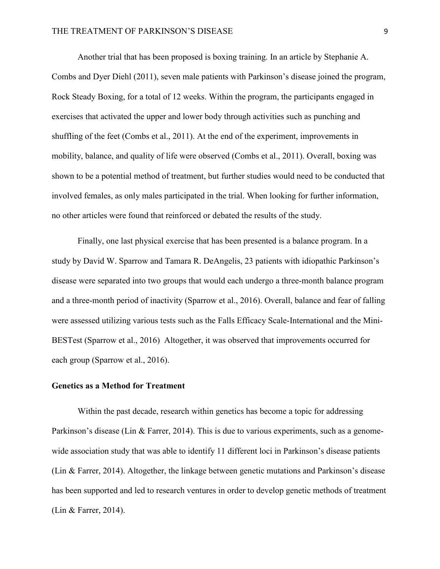Another trial that has been proposed is boxing training. In an article by Stephanie A. Combs and Dyer Diehl (2011), seven male patients with Parkinson's disease joined the program, Rock Steady Boxing, for a total of 12 weeks. Within the program, the participants engaged in exercises that activated the upper and lower body through activities such as punching and shuffling of the feet (Combs et al., 2011). At the end of the experiment, improvements in mobility, balance, and quality of life were observed (Combs et al., 2011). Overall, boxing was shown to be a potential method of treatment, but further studies would need to be conducted that involved females, as only males participated in the trial. When looking for further information, no other articles were found that reinforced or debated the results of the study.

Finally, one last physical exercise that has been presented is a balance program. In a study by David W. Sparrow and Tamara R. DeAngelis, 23 patients with idiopathic Parkinson's disease were separated into two groups that would each undergo a three-month balance program and a three-month period of inactivity (Sparrow et al., 2016). Overall, balance and fear of falling were assessed utilizing various tests such as the Falls Efficacy Scale-International and the Mini-BESTest (Sparrow et al., 2016) Altogether, it was observed that improvements occurred for each group (Sparrow et al., 2016).

#### **Genetics as a Method for Treatment**

Within the past decade, research within genetics has become a topic for addressing Parkinson's disease (Lin & Farrer, 2014). This is due to various experiments, such as a genomewide association study that was able to identify 11 different loci in Parkinson's disease patients (Lin & Farrer, 2014). Altogether, the linkage between genetic mutations and Parkinson's disease has been supported and led to research ventures in order to develop genetic methods of treatment (Lin & Farrer, 2014).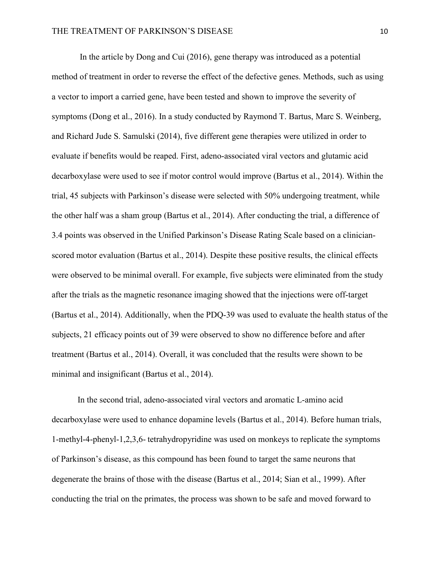In the article by Dong and Cui (2016), gene therapy was introduced as a potential method of treatment in order to reverse the effect of the defective genes. Methods, such as using a vector to import a carried gene, have been tested and shown to improve the severity of symptoms (Dong et al., 2016). In a study conducted by Raymond T. Bartus, Marc S. Weinberg, and Richard Jude S. Samulski (2014), five different gene therapies were utilized in order to evaluate if benefits would be reaped. First, adeno-associated viral vectors and glutamic acid decarboxylase were used to see if motor control would improve (Bartus et al., 2014). Within the trial, 45 subjects with Parkinson's disease were selected with 50% undergoing treatment, while the other half was a sham group (Bartus et al., 2014). After conducting the trial, a difference of 3.4 points was observed in the Unified Parkinson's Disease Rating Scale based on a clinicianscored motor evaluation (Bartus et al., 2014). Despite these positive results, the clinical effects were observed to be minimal overall. For example, five subjects were eliminated from the study after the trials as the magnetic resonance imaging showed that the injections were off-target (Bartus et al., 2014). Additionally, when the PDQ-39 was used to evaluate the health status of the subjects, 21 efficacy points out of 39 were observed to show no difference before and after treatment (Bartus et al., 2014). Overall, it was concluded that the results were shown to be minimal and insignificant (Bartus et al., 2014).

In the second trial, adeno-associated viral vectors and aromatic L-amino acid decarboxylase were used to enhance dopamine levels (Bartus et al., 2014). Before human trials, 1-methyl-4-phenyl-1,2,3,6- tetrahydropyridine was used on monkeys to replicate the symptoms of Parkinson's disease, as this compound has been found to target the same neurons that degenerate the brains of those with the disease (Bartus et al., 2014; Sian et al., 1999). After conducting the trial on the primates, the process was shown to be safe and moved forward to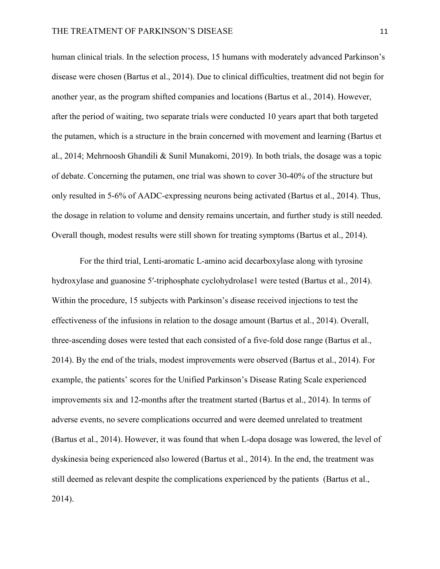human clinical trials. In the selection process, 15 humans with moderately advanced Parkinson's disease were chosen (Bartus et al., 2014). Due to clinical difficulties, treatment did not begin for another year, as the program shifted companies and locations (Bartus et al., 2014). However, after the period of waiting, two separate trials were conducted 10 years apart that both targeted the putamen, which is a structure in the brain concerned with movement and learning (Bartus et al., 2014; Mehrnoosh Ghandili & Sunil Munakomi, 2019). In both trials, the dosage was a topic of debate. Concerning the putamen, one trial was shown to cover 30-40% of the structure but only resulted in 5-6% of AADC-expressing neurons being activated (Bartus et al., 2014). Thus, the dosage in relation to volume and density remains uncertain, and further study is still needed. Overall though, modest results were still shown for treating symptoms (Bartus et al., 2014).

For the third trial, Lenti-aromatic L-amino acid decarboxylase along with tyrosine hydroxylase and guanosine 5'-triphosphate cyclohydrolase1 were tested (Bartus et al., 2014). Within the procedure, 15 subjects with Parkinson's disease received injections to test the effectiveness of the infusions in relation to the dosage amount (Bartus et al., 2014). Overall, three-ascending doses were tested that each consisted of a five-fold dose range (Bartus et al., 2014). By the end of the trials, modest improvements were observed (Bartus et al., 2014). For example, the patients' scores for the Unified Parkinson's Disease Rating Scale experienced improvements six and 12-months after the treatment started (Bartus et al., 2014). In terms of adverse events, no severe complications occurred and were deemed unrelated to treatment (Bartus et al., 2014). However, it was found that when L-dopa dosage was lowered, the level of dyskinesia being experienced also lowered (Bartus et al., 2014). In the end, the treatment was still deemed as relevant despite the complications experienced by the patients (Bartus et al., 2014).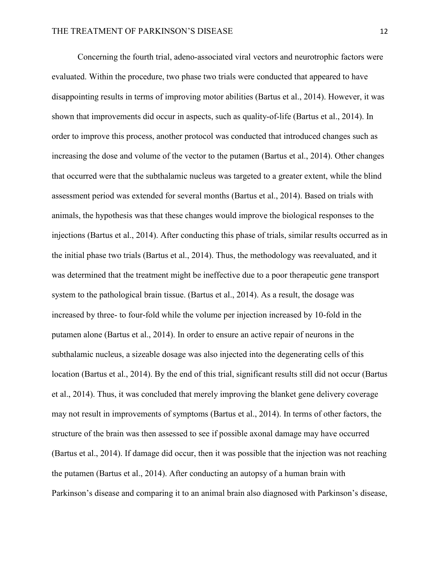Concerning the fourth trial, adeno-associated viral vectors and neurotrophic factors were evaluated. Within the procedure, two phase two trials were conducted that appeared to have disappointing results in terms of improving motor abilities (Bartus et al., 2014). However, it was shown that improvements did occur in aspects, such as quality-of-life (Bartus et al., 2014). In order to improve this process, another protocol was conducted that introduced changes such as increasing the dose and volume of the vector to the putamen (Bartus et al., 2014). Other changes that occurred were that the subthalamic nucleus was targeted to a greater extent, while the blind assessment period was extended for several months (Bartus et al., 2014). Based on trials with animals, the hypothesis was that these changes would improve the biological responses to the injections (Bartus et al., 2014). After conducting this phase of trials, similar results occurred as in the initial phase two trials (Bartus et al., 2014). Thus, the methodology was reevaluated, and it was determined that the treatment might be ineffective due to a poor therapeutic gene transport system to the pathological brain tissue. (Bartus et al., 2014). As a result, the dosage was increased by three- to four-fold while the volume per injection increased by 10-fold in the putamen alone (Bartus et al., 2014). In order to ensure an active repair of neurons in the subthalamic nucleus, a sizeable dosage was also injected into the degenerating cells of this location (Bartus et al., 2014). By the end of this trial, significant results still did not occur (Bartus et al., 2014). Thus, it was concluded that merely improving the blanket gene delivery coverage may not result in improvements of symptoms (Bartus et al., 2014). In terms of other factors, the structure of the brain was then assessed to see if possible axonal damage may have occurred (Bartus et al., 2014). If damage did occur, then it was possible that the injection was not reaching the putamen (Bartus et al., 2014). After conducting an autopsy of a human brain with Parkinson's disease and comparing it to an animal brain also diagnosed with Parkinson's disease,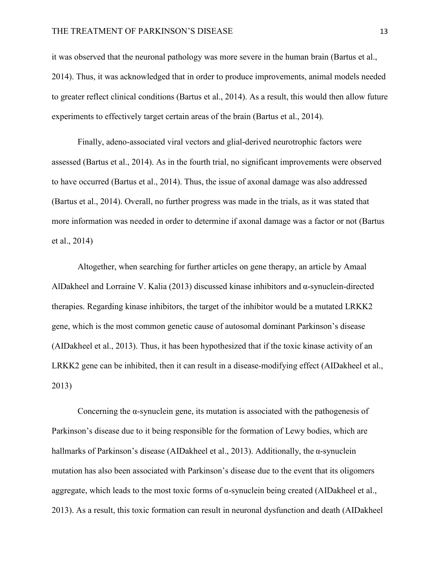it was observed that the neuronal pathology was more severe in the human brain (Bartus et al., 2014). Thus, it was acknowledged that in order to produce improvements, animal models needed to greater reflect clinical conditions (Bartus et al., 2014). As a result, this would then allow future experiments to effectively target certain areas of the brain (Bartus et al., 2014).

Finally, adeno-associated viral vectors and glial-derived neurotrophic factors were assessed (Bartus et al., 2014). As in the fourth trial, no significant improvements were observed to have occurred (Bartus et al., 2014). Thus, the issue of axonal damage was also addressed (Bartus et al., 2014). Overall, no further progress was made in the trials, as it was stated that more information was needed in order to determine if axonal damage was a factor or not (Bartus et al., 2014)

Altogether, when searching for further articles on gene therapy, an article by Amaal AlDakheel and Lorraine V. Kalia (2013) discussed kinase inhibitors and  $\alpha$ -synuclein-directed therapies. Regarding kinase inhibitors, the target of the inhibitor would be a mutated LRKK2 gene, which is the most common genetic cause of autosomal dominant Parkinson's disease (AIDakheel et al., 2013). Thus, it has been hypothesized that if the toxic kinase activity of an LRKK2 gene can be inhibited, then it can result in a disease-modifying effect (AIDakheel et al., 2013)

Concerning the  $\alpha$ -synuclein gene, its mutation is associated with the pathogenesis of Parkinson's disease due to it being responsible for the formation of Lewy bodies, which are hallmarks of Parkinson's disease (AIDakheel et al., 2013). Additionally, the  $\alpha$ -synuclein mutation has also been associated with Parkinson's disease due to the event that its oligomers aggregate, which leads to the most toxic forms of α-synuclein being created (AIDakheel et al., 2013). As a result, this toxic formation can result in neuronal dysfunction and death (AIDakheel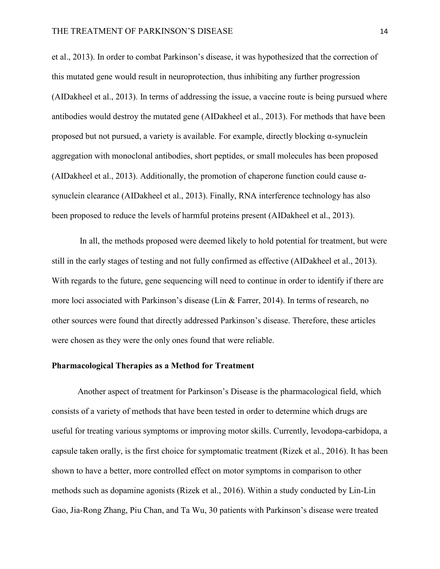et al., 2013). In order to combat Parkinson's disease, it was hypothesized that the correction of this mutated gene would result in neuroprotection, thus inhibiting any further progression (AIDakheel et al., 2013). In terms of addressing the issue, a vaccine route is being pursued where antibodies would destroy the mutated gene (AIDakheel et al., 2013). For methods that have been proposed but not pursued, a variety is available. For example, directly blocking α-synuclein aggregation with monoclonal antibodies, short peptides, or small molecules has been proposed (AIDakheel et al., 2013). Additionally, the promotion of chaperone function could cause αsynuclein clearance (AIDakheel et al., 2013). Finally, RNA interference technology has also been proposed to reduce the levels of harmful proteins present (AIDakheel et al., 2013).

In all, the methods proposed were deemed likely to hold potential for treatment, but were still in the early stages of testing and not fully confirmed as effective (AIDakheel et al., 2013). With regards to the future, gene sequencing will need to continue in order to identify if there are more loci associated with Parkinson's disease (Lin & Farrer, 2014). In terms of research, no other sources were found that directly addressed Parkinson's disease. Therefore, these articles were chosen as they were the only ones found that were reliable.

#### **Pharmacological Therapies as a Method for Treatment**

Another aspect of treatment for Parkinson's Disease is the pharmacological field, which consists of a variety of methods that have been tested in order to determine which drugs are useful for treating various symptoms or improving motor skills. Currently, levodopa-carbidopa, a capsule taken orally, is the first choice for symptomatic treatment (Rizek et al., 2016). It has been shown to have a better, more controlled effect on motor symptoms in comparison to other methods such as dopamine agonists (Rizek et al., 2016). Within a study conducted by Lin-Lin Gao, Jia-Rong Zhang, Piu Chan, and Ta Wu, 30 patients with Parkinson's disease were treated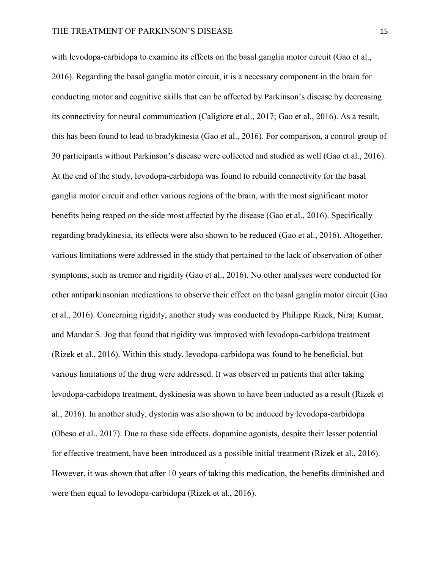with levodopa-carbidopa to examine its effects on the basal ganglia motor circuit (Gao et al., 2016). Regarding the basal ganglia motor circuit, it is a necessary component in the brain for conducting motor and cognitive skills that can be affected by Parkinson's disease by decreasing its connectivity for neural communication (Caligiore et al., 2017; Gao et al., 2016). As a result, this has been found to lead to bradykinesia (Gao et al., 2016). For comparison, a control group of 30 participants without Parkinson's disease were collected and studied as well (Gao et al., 2016). At the end of the study, levodopa-carbidopa was found to rebuild connectivity for the basal ganglia motor circuit and other various regions of the brain, with the most significant motor benefits being reaped on the side most affected by the disease (Gao et al., 2016). Specifically regarding bradykinesia, its effects were also shown to be reduced (Gao et al., 2016). Altogether, various limitations were addressed in the study that pertained to the lack of observation of other symptoms, such as tremor and rigidity (Gao et al., 2016). No other analyses were conducted for other antiparkinsonian medications to observe their effect on the basal ganglia motor circuit (Gao et al., 2016). Concerning rigidity, another study was conducted by Philippe Rizek, Niraj Kumar, and Mandar S. Jog that found that rigidity was improved with levodopa-carbidopa treatment (Rizek et al., 2016). Within this study, levodopa-carbidopa was found to be beneficial, but various limitations of the drug were addressed. It was observed in patients that after taking levodopa-carbidopa treatment, dyskinesia was shown to have been inducted as a result (Rizek et al., 2016). In another study, dystonia was also shown to be induced by levodopa-carbidopa (Obeso et al., 2017). Due to these side effects, dopamine agonists, despite their lesser potential for effective treatment, have been introduced as a possible initial treatment (Rizek et al., 2016). However, it was shown that after 10 years of taking this medication, the benefits diminished and were then equal to levodopa-carbidopa (Rizek et al., 2016).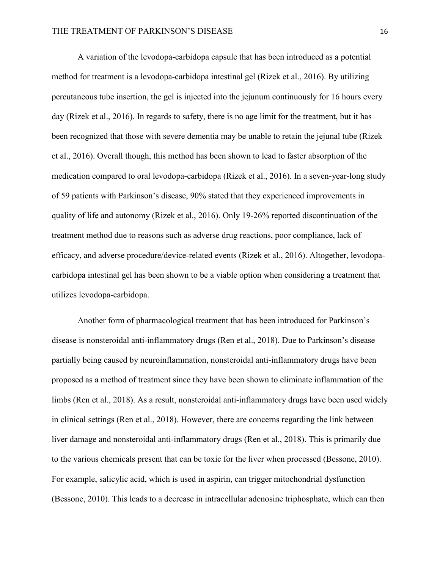A variation of the levodopa-carbidopa capsule that has been introduced as a potential method for treatment is a levodopa-carbidopa intestinal gel (Rizek et al., 2016). By utilizing percutaneous tube insertion, the gel is injected into the jejunum continuously for 16 hours every day (Rizek et al., 2016). In regards to safety, there is no age limit for the treatment, but it has been recognized that those with severe dementia may be unable to retain the jejunal tube (Rizek et al., 2016). Overall though, this method has been shown to lead to faster absorption of the medication compared to oral levodopa-carbidopa (Rizek et al., 2016). In a seven-year-long study of 59 patients with Parkinson's disease, 90% stated that they experienced improvements in quality of life and autonomy (Rizek et al., 2016). Only 19-26% reported discontinuation of the treatment method due to reasons such as adverse drug reactions, poor compliance, lack of efficacy, and adverse procedure/device-related events (Rizek et al., 2016). Altogether, levodopacarbidopa intestinal gel has been shown to be a viable option when considering a treatment that utilizes levodopa-carbidopa.

Another form of pharmacological treatment that has been introduced for Parkinson's disease is nonsteroidal anti-inflammatory drugs (Ren et al., 2018). Due to Parkinson's disease partially being caused by neuroinflammation, nonsteroidal anti-inflammatory drugs have been proposed as a method of treatment since they have been shown to eliminate inflammation of the limbs (Ren et al., 2018). As a result, nonsteroidal anti-inflammatory drugs have been used widely in clinical settings (Ren et al., 2018). However, there are concerns regarding the link between liver damage and nonsteroidal anti-inflammatory drugs (Ren et al., 2018). This is primarily due to the various chemicals present that can be toxic for the liver when processed (Bessone, 2010). For example, salicylic acid, which is used in aspirin, can trigger mitochondrial dysfunction (Bessone, 2010). This leads to a decrease in intracellular adenosine triphosphate, which can then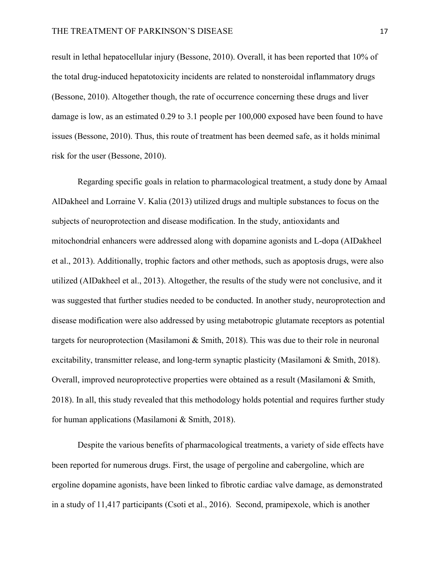result in lethal hepatocellular injury (Bessone, 2010). Overall, it has been reported that 10% of the total drug-induced hepatotoxicity incidents are related to nonsteroidal inflammatory drugs (Bessone, 2010). Altogether though, the rate of occurrence concerning these drugs and liver damage is low, as an estimated 0.29 to 3.1 people per 100,000 exposed have been found to have issues (Bessone, 2010). Thus, this route of treatment has been deemed safe, as it holds minimal risk for the user (Bessone, 2010).

Regarding specific goals in relation to pharmacological treatment, a study done by Amaal AlDakheel and Lorraine V. Kalia (2013) utilized drugs and multiple substances to focus on the subjects of neuroprotection and disease modification. In the study, antioxidants and mitochondrial enhancers were addressed along with dopamine agonists and L-dopa (AIDakheel et al., 2013). Additionally, trophic factors and other methods, such as apoptosis drugs, were also utilized (AIDakheel et al., 2013). Altogether, the results of the study were not conclusive, and it was suggested that further studies needed to be conducted. In another study, neuroprotection and disease modification were also addressed by using metabotropic glutamate receptors as potential targets for neuroprotection (Masilamoni & Smith, 2018). This was due to their role in neuronal excitability, transmitter release, and long-term synaptic plasticity (Masilamoni & Smith, 2018). Overall, improved neuroprotective properties were obtained as a result (Masilamoni & Smith, 2018). In all, this study revealed that this methodology holds potential and requires further study for human applications (Masilamoni & Smith, 2018).

Despite the various benefits of pharmacological treatments, a variety of side effects have been reported for numerous drugs. First, the usage of pergoline and cabergoline, which are ergoline dopamine agonists, have been linked to fibrotic cardiac valve damage, as demonstrated in a study of 11,417 participants (Csoti et al., 2016). Second, pramipexole, which is another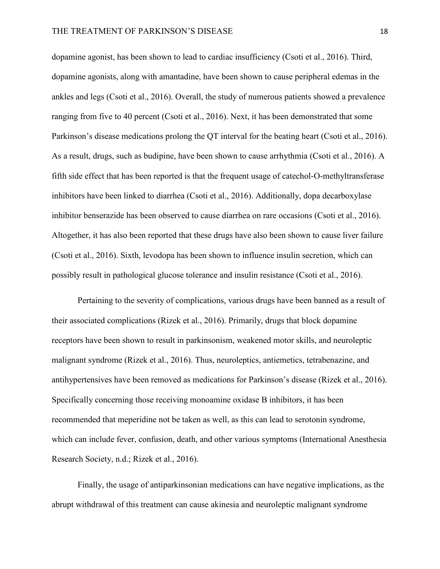dopamine agonist, has been shown to lead to cardiac insufficiency (Csoti et al., 2016). Third, dopamine agonists, along with amantadine, have been shown to cause peripheral edemas in the ankles and legs (Csoti et al., 2016). Overall, the study of numerous patients showed a prevalence ranging from five to 40 percent (Csoti et al., 2016). Next, it has been demonstrated that some Parkinson's disease medications prolong the QT interval for the beating heart (Csoti et al., 2016). As a result, drugs, such as budipine, have been shown to cause arrhythmia (Csoti et al., 2016). A fifth side effect that has been reported is that the frequent usage of catechol-O-methyltransferase inhibitors have been linked to diarrhea (Csoti et al., 2016). Additionally, dopa decarboxylase inhibitor benserazide has been observed to cause diarrhea on rare occasions (Csoti et al., 2016). Altogether, it has also been reported that these drugs have also been shown to cause liver failure (Csoti et al., 2016). Sixth, levodopa has been shown to influence insulin secretion, which can possibly result in pathological glucose tolerance and insulin resistance (Csoti et al., 2016).

Pertaining to the severity of complications, various drugs have been banned as a result of their associated complications (Rizek et al., 2016). Primarily, drugs that block dopamine receptors have been shown to result in parkinsonism, weakened motor skills, and neuroleptic malignant syndrome (Rizek et al., 2016). Thus, neuroleptics, antiemetics, tetrabenazine, and antihypertensives have been removed as medications for Parkinson's disease (Rizek et al., 2016). Specifically concerning those receiving monoamine oxidase B inhibitors, it has been recommended that meperidine not be taken as well, as this can lead to serotonin syndrome, which can include fever, confusion, death, and other various symptoms (International Anesthesia Research Society, n.d.; Rizek et al., 2016).

Finally, the usage of antiparkinsonian medications can have negative implications, as the abrupt withdrawal of this treatment can cause akinesia and neuroleptic malignant syndrome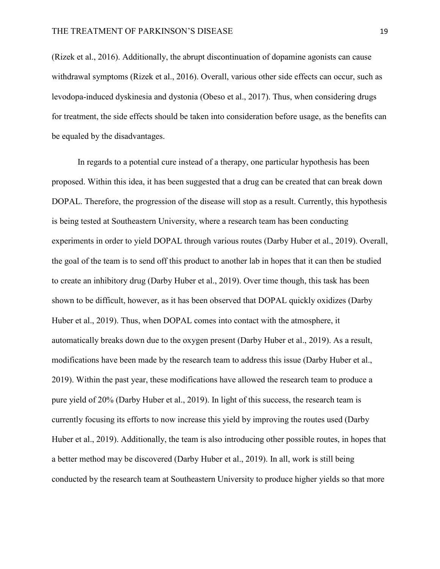(Rizek et al., 2016). Additionally, the abrupt discontinuation of dopamine agonists can cause withdrawal symptoms (Rizek et al., 2016). Overall, various other side effects can occur, such as levodopa-induced dyskinesia and dystonia (Obeso et al., 2017). Thus, when considering drugs for treatment, the side effects should be taken into consideration before usage, as the benefits can be equaled by the disadvantages.

In regards to a potential cure instead of a therapy, one particular hypothesis has been proposed. Within this idea, it has been suggested that a drug can be created that can break down DOPAL. Therefore, the progression of the disease will stop as a result. Currently, this hypothesis is being tested at Southeastern University, where a research team has been conducting experiments in order to yield DOPAL through various routes (Darby Huber et al., 2019). Overall, the goal of the team is to send off this product to another lab in hopes that it can then be studied to create an inhibitory drug (Darby Huber et al., 2019). Over time though, this task has been shown to be difficult, however, as it has been observed that DOPAL quickly oxidizes (Darby Huber et al., 2019). Thus, when DOPAL comes into contact with the atmosphere, it automatically breaks down due to the oxygen present (Darby Huber et al., 2019). As a result, modifications have been made by the research team to address this issue (Darby Huber et al., 2019). Within the past year, these modifications have allowed the research team to produce a pure yield of 20% (Darby Huber et al., 2019). In light of this success, the research team is currently focusing its efforts to now increase this yield by improving the routes used (Darby Huber et al., 2019). Additionally, the team is also introducing other possible routes, in hopes that a better method may be discovered (Darby Huber et al., 2019). In all, work is still being conducted by the research team at Southeastern University to produce higher yields so that more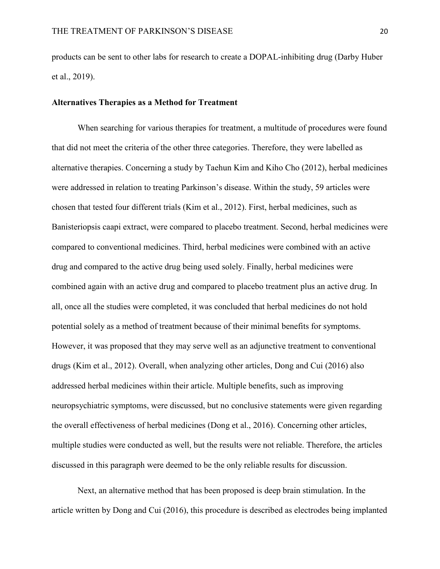products can be sent to other labs for research to create a DOPAL-inhibiting drug (Darby Huber et al., 2019).

# **Alternatives Therapies as a Method for Treatment**

When searching for various therapies for treatment, a multitude of procedures were found that did not meet the criteria of the other three categories. Therefore, they were labelled as alternative therapies. Concerning a study by Taehun Kim and Kiho Cho (2012), herbal medicines were addressed in relation to treating Parkinson's disease. Within the study, 59 articles were chosen that tested four different trials (Kim et al., 2012). First, herbal medicines, such as Banisteriopsis caapi extract, were compared to placebo treatment. Second, herbal medicines were compared to conventional medicines. Third, herbal medicines were combined with an active drug and compared to the active drug being used solely. Finally, herbal medicines were combined again with an active drug and compared to placebo treatment plus an active drug. In all, once all the studies were completed, it was concluded that herbal medicines do not hold potential solely as a method of treatment because of their minimal benefits for symptoms. However, it was proposed that they may serve well as an adjunctive treatment to conventional drugs (Kim et al., 2012). Overall, when analyzing other articles, Dong and Cui (2016) also addressed herbal medicines within their article. Multiple benefits, such as improving neuropsychiatric symptoms, were discussed, but no conclusive statements were given regarding the overall effectiveness of herbal medicines (Dong et al., 2016). Concerning other articles, multiple studies were conducted as well, but the results were not reliable. Therefore, the articles discussed in this paragraph were deemed to be the only reliable results for discussion.

Next, an alternative method that has been proposed is deep brain stimulation. In the article written by Dong and Cui (2016), this procedure is described as electrodes being implanted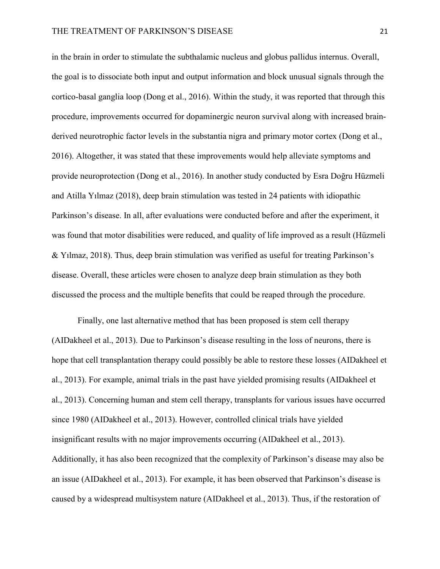in the brain in order to stimulate the subthalamic nucleus and globus pallidus internus. Overall, the goal is to dissociate both input and output information and block unusual signals through the cortico-basal ganglia loop (Dong et al., 2016). Within the study, it was reported that through this procedure, improvements occurred for dopaminergic neuron survival along with increased brainderived neurotrophic factor levels in the substantia nigra and primary motor cortex (Dong et al., 2016). Altogether, it was stated that these improvements would help alleviate symptoms and provide neuroprotection (Dong et al., 2016). In another study conducted by Esra Doğru Hüzmeli and Atilla Yılmaz (2018), deep brain stimulation was tested in 24 patients with idiopathic Parkinson's disease. In all, after evaluations were conducted before and after the experiment, it was found that motor disabilities were reduced, and quality of life improved as a result (Hüzmeli & Yılmaz, 2018). Thus, deep brain stimulation was verified as useful for treating Parkinson's disease. Overall, these articles were chosen to analyze deep brain stimulation as they both discussed the process and the multiple benefits that could be reaped through the procedure.

Finally, one last alternative method that has been proposed is stem cell therapy (AIDakheel et al., 2013). Due to Parkinson's disease resulting in the loss of neurons, there is hope that cell transplantation therapy could possibly be able to restore these losses (AIDakheel et al., 2013). For example, animal trials in the past have yielded promising results (AIDakheel et al., 2013). Concerning human and stem cell therapy, transplants for various issues have occurred since 1980 (AIDakheel et al., 2013). However, controlled clinical trials have yielded insignificant results with no major improvements occurring (AIDakheel et al., 2013). Additionally, it has also been recognized that the complexity of Parkinson's disease may also be an issue (AIDakheel et al., 2013). For example, it has been observed that Parkinson's disease is caused by a widespread multisystem nature (AIDakheel et al., 2013). Thus, if the restoration of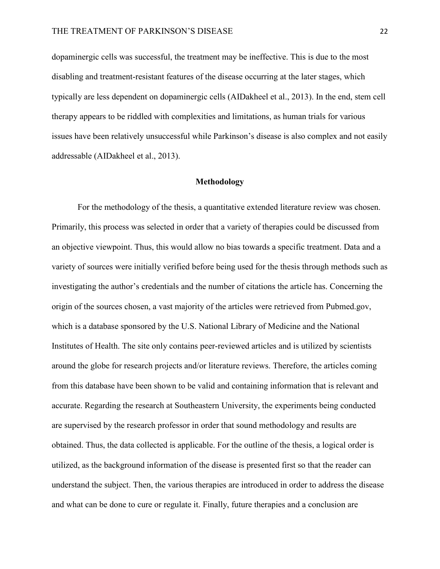dopaminergic cells was successful, the treatment may be ineffective. This is due to the most disabling and treatment-resistant features of the disease occurring at the later stages, which typically are less dependent on dopaminergic cells (AIDakheel et al., 2013). In the end, stem cell therapy appears to be riddled with complexities and limitations, as human trials for various issues have been relatively unsuccessful while Parkinson's disease is also complex and not easily addressable (AIDakheel et al., 2013).

# **Methodology**

For the methodology of the thesis, a quantitative extended literature review was chosen. Primarily, this process was selected in order that a variety of therapies could be discussed from an objective viewpoint. Thus, this would allow no bias towards a specific treatment. Data and a variety of sources were initially verified before being used for the thesis through methods such as investigating the author's credentials and the number of citations the article has. Concerning the origin of the sources chosen, a vast majority of the articles were retrieved from Pubmed.gov, which is a database sponsored by the U.S. National Library of Medicine and the National Institutes of Health. The site only contains peer-reviewed articles and is utilized by scientists around the globe for research projects and/or literature reviews. Therefore, the articles coming from this database have been shown to be valid and containing information that is relevant and accurate. Regarding the research at Southeastern University, the experiments being conducted are supervised by the research professor in order that sound methodology and results are obtained. Thus, the data collected is applicable. For the outline of the thesis, a logical order is utilized, as the background information of the disease is presented first so that the reader can understand the subject. Then, the various therapies are introduced in order to address the disease and what can be done to cure or regulate it. Finally, future therapies and a conclusion are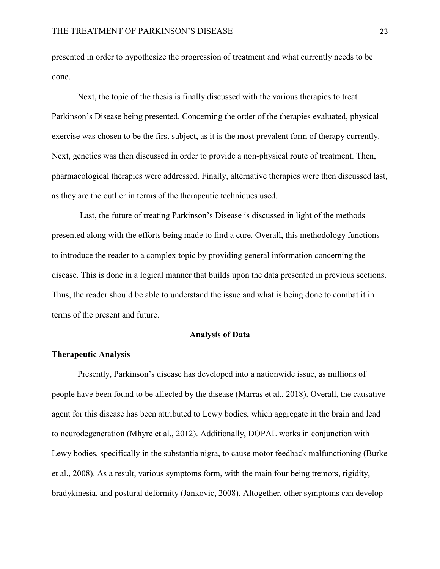presented in order to hypothesize the progression of treatment and what currently needs to be done.

Next, the topic of the thesis is finally discussed with the various therapies to treat Parkinson's Disease being presented. Concerning the order of the therapies evaluated, physical exercise was chosen to be the first subject, as it is the most prevalent form of therapy currently. Next, genetics was then discussed in order to provide a non-physical route of treatment. Then, pharmacological therapies were addressed. Finally, alternative therapies were then discussed last, as they are the outlier in terms of the therapeutic techniques used.

Last, the future of treating Parkinson's Disease is discussed in light of the methods presented along with the efforts being made to find a cure. Overall, this methodology functions to introduce the reader to a complex topic by providing general information concerning the disease. This is done in a logical manner that builds upon the data presented in previous sections. Thus, the reader should be able to understand the issue and what is being done to combat it in terms of the present and future.

#### **Analysis of Data**

# **Therapeutic Analysis**

Presently, Parkinson's disease has developed into a nationwide issue, as millions of people have been found to be affected by the disease (Marras et al., 2018). Overall, the causative agent for this disease has been attributed to Lewy bodies, which aggregate in the brain and lead to neurodegeneration (Mhyre et al., 2012). Additionally, DOPAL works in conjunction with Lewy bodies, specifically in the substantia nigra, to cause motor feedback malfunctioning (Burke et al., 2008). As a result, various symptoms form, with the main four being tremors, rigidity, bradykinesia, and postural deformity (Jankovic, 2008). Altogether, other symptoms can develop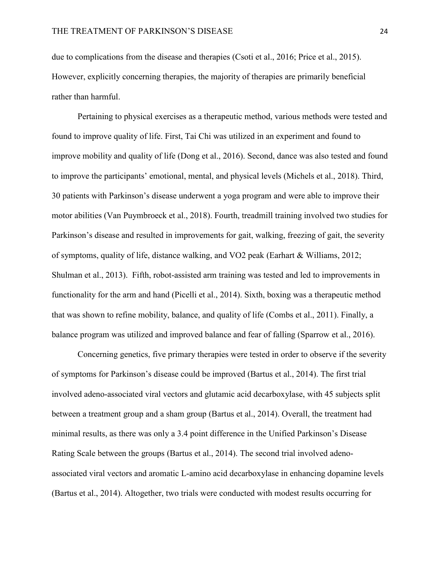due to complications from the disease and therapies (Csoti et al., 2016; Price et al., 2015). However, explicitly concerning therapies, the majority of therapies are primarily beneficial rather than harmful.

Pertaining to physical exercises as a therapeutic method, various methods were tested and found to improve quality of life. First, Tai Chi was utilized in an experiment and found to improve mobility and quality of life (Dong et al., 2016). Second, dance was also tested and found to improve the participants' emotional, mental, and physical levels (Michels et al., 2018). Third, 30 patients with Parkinson's disease underwent a yoga program and were able to improve their motor abilities (Van Puymbroeck et al., 2018). Fourth, treadmill training involved two studies for Parkinson's disease and resulted in improvements for gait, walking, freezing of gait, the severity of symptoms, quality of life, distance walking, and VO2 peak (Earhart & Williams, 2012; Shulman et al., 2013). Fifth, robot-assisted arm training was tested and led to improvements in functionality for the arm and hand (Picelli et al., 2014). Sixth, boxing was a therapeutic method that was shown to refine mobility, balance, and quality of life (Combs et al., 2011). Finally, a balance program was utilized and improved balance and fear of falling (Sparrow et al., 2016).

Concerning genetics, five primary therapies were tested in order to observe if the severity of symptoms for Parkinson's disease could be improved (Bartus et al., 2014). The first trial involved adeno-associated viral vectors and glutamic acid decarboxylase, with 45 subjects split between a treatment group and a sham group (Bartus et al., 2014). Overall, the treatment had minimal results, as there was only a 3.4 point difference in the Unified Parkinson's Disease Rating Scale between the groups (Bartus et al., 2014). The second trial involved adenoassociated viral vectors and aromatic L-amino acid decarboxylase in enhancing dopamine levels (Bartus et al., 2014). Altogether, two trials were conducted with modest results occurring for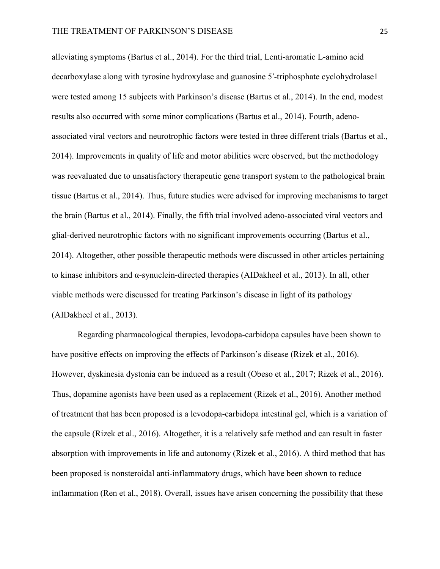alleviating symptoms (Bartus et al., 2014). For the third trial, Lenti-aromatic L-amino acid decarboxylase along with tyrosine hydroxylase and guanosine 5′-triphosphate cyclohydrolase1 were tested among 15 subjects with Parkinson's disease (Bartus et al., 2014). In the end, modest results also occurred with some minor complications (Bartus et al., 2014). Fourth, adenoassociated viral vectors and neurotrophic factors were tested in three different trials (Bartus et al., 2014). Improvements in quality of life and motor abilities were observed, but the methodology was reevaluated due to unsatisfactory therapeutic gene transport system to the pathological brain tissue (Bartus et al., 2014). Thus, future studies were advised for improving mechanisms to target the brain (Bartus et al., 2014). Finally, the fifth trial involved adeno-associated viral vectors and glial-derived neurotrophic factors with no significant improvements occurring (Bartus et al., 2014). Altogether, other possible therapeutic methods were discussed in other articles pertaining to kinase inhibitors and α-synuclein-directed therapies (AIDakheel et al., 2013). In all, other viable methods were discussed for treating Parkinson's disease in light of its pathology (AIDakheel et al., 2013).

Regarding pharmacological therapies, levodopa-carbidopa capsules have been shown to have positive effects on improving the effects of Parkinson's disease (Rizek et al., 2016). However, dyskinesia dystonia can be induced as a result (Obeso et al., 2017; Rizek et al., 2016). Thus, dopamine agonists have been used as a replacement (Rizek et al., 2016). Another method of treatment that has been proposed is a levodopa-carbidopa intestinal gel, which is a variation of the capsule (Rizek et al., 2016). Altogether, it is a relatively safe method and can result in faster absorption with improvements in life and autonomy (Rizek et al., 2016). A third method that has been proposed is nonsteroidal anti-inflammatory drugs, which have been shown to reduce inflammation (Ren et al., 2018). Overall, issues have arisen concerning the possibility that these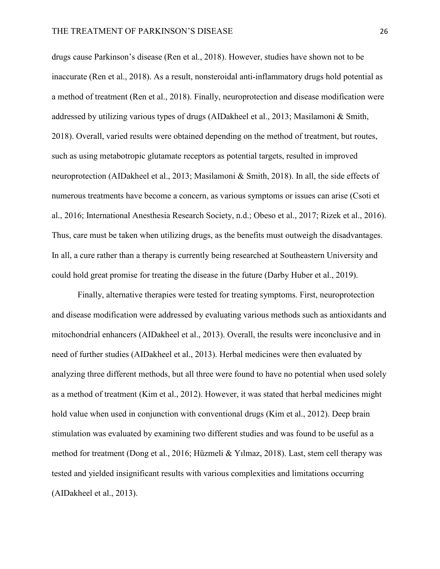drugs cause Parkinson's disease (Ren et al., 2018). However, studies have shown not to be inaccurate (Ren et al., 2018). As a result, nonsteroidal anti-inflammatory drugs hold potential as a method of treatment (Ren et al., 2018). Finally, neuroprotection and disease modification were addressed by utilizing various types of drugs (AIDakheel et al., 2013; Masilamoni & Smith, 2018). Overall, varied results were obtained depending on the method of treatment, but routes, such as using metabotropic glutamate receptors as potential targets, resulted in improved neuroprotection (AIDakheel et al., 2013; Masilamoni & Smith, 2018). In all, the side effects of numerous treatments have become a concern, as various symptoms or issues can arise (Csoti et al., 2016; International Anesthesia Research Society, n.d.; Obeso et al., 2017; Rizek et al., 2016). Thus, care must be taken when utilizing drugs, as the benefits must outweigh the disadvantages. In all, a cure rather than a therapy is currently being researched at Southeastern University and could hold great promise for treating the disease in the future (Darby Huber et al., 2019).

Finally, alternative therapies were tested for treating symptoms. First, neuroprotection and disease modification were addressed by evaluating various methods such as antioxidants and mitochondrial enhancers (AIDakheel et al., 2013). Overall, the results were inconclusive and in need of further studies (AIDakheel et al., 2013). Herbal medicines were then evaluated by analyzing three different methods, but all three were found to have no potential when used solely as a method of treatment (Kim et al., 2012). However, it was stated that herbal medicines might hold value when used in conjunction with conventional drugs (Kim et al., 2012). Deep brain stimulation was evaluated by examining two different studies and was found to be useful as a method for treatment (Dong et al., 2016; Hüzmeli & Yılmaz, 2018). Last, stem cell therapy was tested and yielded insignificant results with various complexities and limitations occurring (AIDakheel et al., 2013).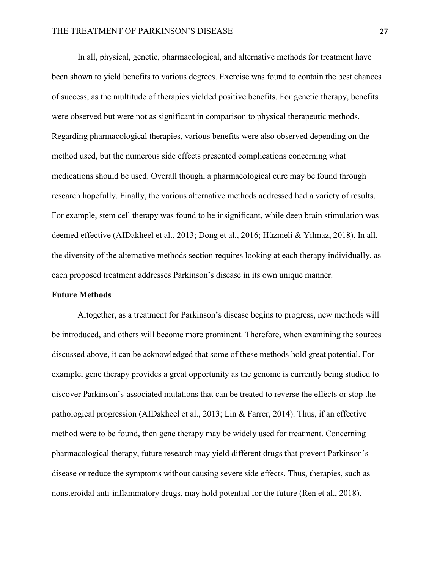In all, physical, genetic, pharmacological, and alternative methods for treatment have been shown to yield benefits to various degrees. Exercise was found to contain the best chances of success, as the multitude of therapies yielded positive benefits. For genetic therapy, benefits were observed but were not as significant in comparison to physical therapeutic methods. Regarding pharmacological therapies, various benefits were also observed depending on the method used, but the numerous side effects presented complications concerning what medications should be used. Overall though, a pharmacological cure may be found through research hopefully. Finally, the various alternative methods addressed had a variety of results. For example, stem cell therapy was found to be insignificant, while deep brain stimulation was deemed effective (AIDakheel et al., 2013; Dong et al., 2016; Hüzmeli & Yılmaz, 2018). In all, the diversity of the alternative methods section requires looking at each therapy individually, as each proposed treatment addresses Parkinson's disease in its own unique manner.

#### **Future Methods**

Altogether, as a treatment for Parkinson's disease begins to progress, new methods will be introduced, and others will become more prominent. Therefore, when examining the sources discussed above, it can be acknowledged that some of these methods hold great potential. For example, gene therapy provides a great opportunity as the genome is currently being studied to discover Parkinson's-associated mutations that can be treated to reverse the effects or stop the pathological progression (AIDakheel et al., 2013; Lin & Farrer, 2014). Thus, if an effective method were to be found, then gene therapy may be widely used for treatment. Concerning pharmacological therapy, future research may yield different drugs that prevent Parkinson's disease or reduce the symptoms without causing severe side effects. Thus, therapies, such as nonsteroidal anti-inflammatory drugs, may hold potential for the future (Ren et al., 2018).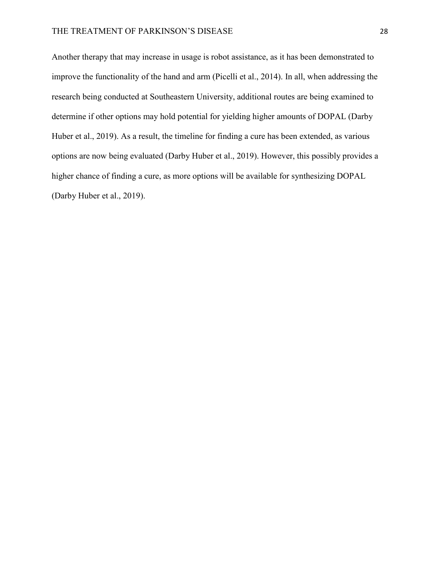Another therapy that may increase in usage is robot assistance, as it has been demonstrated to improve the functionality of the hand and arm (Picelli et al., 2014). In all, when addressing the research being conducted at Southeastern University, additional routes are being examined to determine if other options may hold potential for yielding higher amounts of DOPAL (Darby Huber et al., 2019). As a result, the timeline for finding a cure has been extended, as various options are now being evaluated (Darby Huber et al., 2019). However, this possibly provides a higher chance of finding a cure, as more options will be available for synthesizing DOPAL (Darby Huber et al., 2019).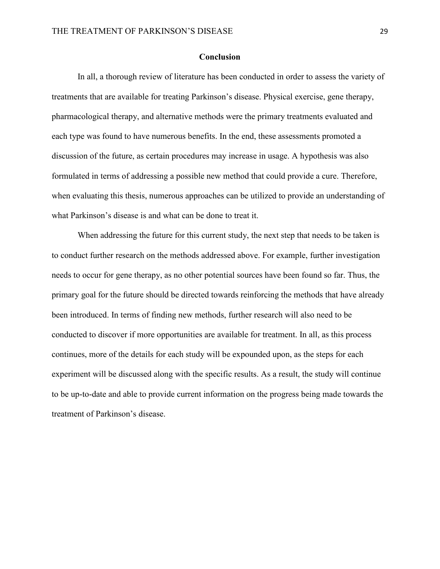#### **Conclusion**

In all, a thorough review of literature has been conducted in order to assess the variety of treatments that are available for treating Parkinson's disease. Physical exercise, gene therapy, pharmacological therapy, and alternative methods were the primary treatments evaluated and each type was found to have numerous benefits. In the end, these assessments promoted a discussion of the future, as certain procedures may increase in usage. A hypothesis was also formulated in terms of addressing a possible new method that could provide a cure. Therefore, when evaluating this thesis, numerous approaches can be utilized to provide an understanding of what Parkinson's disease is and what can be done to treat it.

When addressing the future for this current study, the next step that needs to be taken is to conduct further research on the methods addressed above. For example, further investigation needs to occur for gene therapy, as no other potential sources have been found so far. Thus, the primary goal for the future should be directed towards reinforcing the methods that have already been introduced. In terms of finding new methods, further research will also need to be conducted to discover if more opportunities are available for treatment. In all, as this process continues, more of the details for each study will be expounded upon, as the steps for each experiment will be discussed along with the specific results. As a result, the study will continue to be up-to-date and able to provide current information on the progress being made towards the treatment of Parkinson's disease.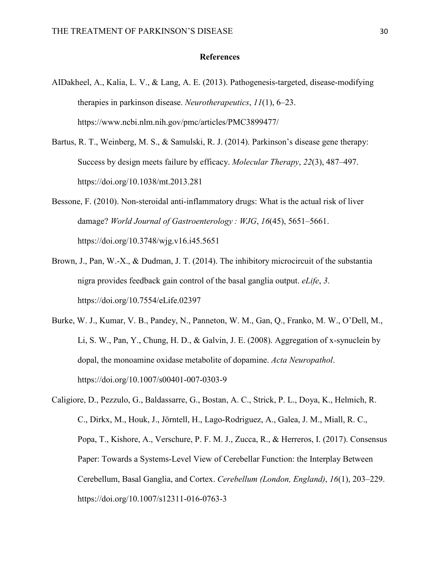#### **References**

- AIDakheel, A., Kalia, L. V., & Lang, A. E. (2013). Pathogenesis-targeted, disease-modifying therapies in parkinson disease. *Neurotherapeutics*, *11*(1), 6–23. https://www.ncbi.nlm.nih.gov/pmc/articles/PMC3899477/
- Bartus, R. T., Weinberg, M. S., & Samulski, R. J. (2014). Parkinson's disease gene therapy: Success by design meets failure by efficacy. *Molecular Therapy*, *22*(3), 487–497. https://doi.org/10.1038/mt.2013.281
- Bessone, F. (2010). Non-steroidal anti-inflammatory drugs: What is the actual risk of liver damage? *World Journal of Gastroenterology : WJG*, *16*(45), 5651–5661. https://doi.org/10.3748/wjg.v16.i45.5651
- Brown, J., Pan, W.-X., & Dudman, J. T. (2014). The inhibitory microcircuit of the substantia nigra provides feedback gain control of the basal ganglia output. *eLife*, *3*. https://doi.org/10.7554/eLife.02397
- Burke, W. J., Kumar, V. B., Pandey, N., Panneton, W. M., Gan, Q., Franko, M. W., O'Dell, M., Li, S. W., Pan, Y., Chung, H. D., & Galvin, J. E. (2008). Aggregation of x-synuclein by dopal, the monoamine oxidase metabolite of dopamine. *Acta Neuropathol*. https://doi.org/10.1007/s00401-007-0303-9
- Caligiore, D., Pezzulo, G., Baldassarre, G., Bostan, A. C., Strick, P. L., Doya, K., Helmich, R. C., Dirkx, M., Houk, J., Jörntell, H., Lago-Rodriguez, A., Galea, J. M., Miall, R. C., Popa, T., Kishore, A., Verschure, P. F. M. J., Zucca, R., & Herreros, I. (2017). Consensus Paper: Towards a Systems-Level View of Cerebellar Function: the Interplay Between Cerebellum, Basal Ganglia, and Cortex. *Cerebellum (London, England)*, *16*(1), 203–229. https://doi.org/10.1007/s12311-016-0763-3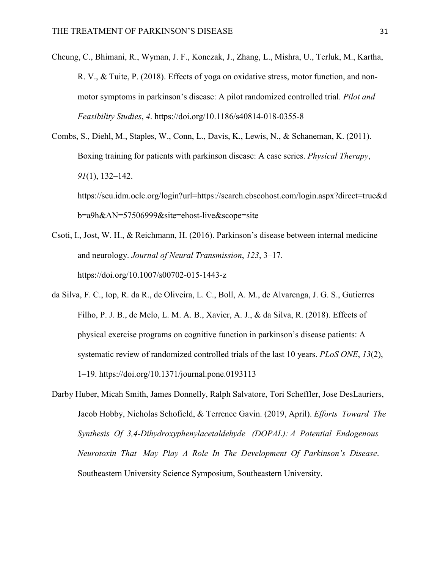- Cheung, C., Bhimani, R., Wyman, J. F., Konczak, J., Zhang, L., Mishra, U., Terluk, M., Kartha, R. V., & Tuite, P. (2018). Effects of yoga on oxidative stress, motor function, and nonmotor symptoms in parkinson's disease: A pilot randomized controlled trial. *Pilot and Feasibility Studies*, *4*. https://doi.org/10.1186/s40814-018-0355-8
- Combs, S., Diehl, M., Staples, W., Conn, L., Davis, K., Lewis, N., & Schaneman, K. (2011). Boxing training for patients with parkinson disease: A case series. *Physical Therapy*, *91*(1), 132–142.

https://seu.idm.oclc.org/login?url=https://search.ebscohost.com/login.aspx?direct=true&d b=a9h&AN=57506999&site=ehost-live&scope=site

- Csoti, I., Jost, W. H., & Reichmann, H. (2016). Parkinson's disease between internal medicine and neurology. *Journal of Neural Transmission*, *123*, 3–17. https://doi.org/10.1007/s00702-015-1443-z
- da Silva, F. C., Iop, R. da R., de Oliveira, L. C., Boll, A. M., de Alvarenga, J. G. S., Gutierres Filho, P. J. B., de Melo, L. M. A. B., Xavier, A. J., & da Silva, R. (2018). Effects of physical exercise programs on cognitive function in parkinson's disease patients: A systematic review of randomized controlled trials of the last 10 years. *PLoS ONE*, *13*(2), 1–19. https://doi.org/10.1371/journal.pone.0193113
- Darby Huber, Micah Smith, James Donnelly, Ralph Salvatore, Tori Scheffler, Jose DesLauriers, Jacob Hobby, Nicholas Schofield, & Terrence Gavin. (2019, April). *Efforts Toward The Synthesis Of 3,4-Dihydroxyphenylacetaldehyde (DOPAL): A Potential Endogenous Neurotoxin That May Play A Role In The Development Of Parkinson's Disease*. Southeastern University Science Symposium, Southeastern University.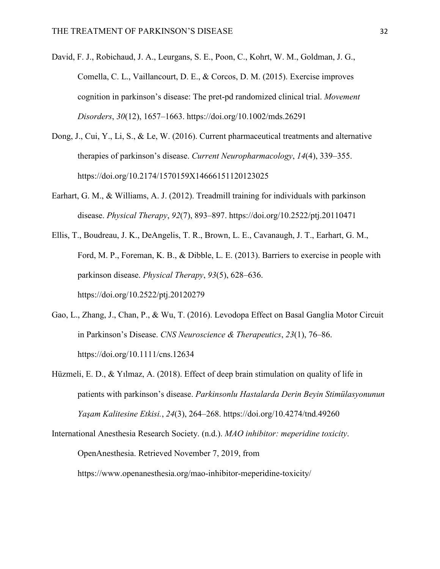- David, F. J., Robichaud, J. A., Leurgans, S. E., Poon, C., Kohrt, W. M., Goldman, J. G., Comella, C. L., Vaillancourt, D. E., & Corcos, D. M. (2015). Exercise improves cognition in parkinson's disease: The pret-pd randomized clinical trial. *Movement Disorders*, *30*(12), 1657–1663. https://doi.org/10.1002/mds.26291
- Dong, J., Cui, Y., Li, S., & Le, W. (2016). Current pharmaceutical treatments and alternative therapies of parkinson's disease. *Current Neuropharmacology*, *14*(4), 339–355. https://doi.org/10.2174/1570159X14666151120123025
- Earhart, G. M., & Williams, A. J. (2012). Treadmill training for individuals with parkinson disease. *Physical Therapy*, *92*(7), 893–897. https://doi.org/10.2522/ptj.20110471
- Ellis, T., Boudreau, J. K., DeAngelis, T. R., Brown, L. E., Cavanaugh, J. T., Earhart, G. M., Ford, M. P., Foreman, K. B., & Dibble, L. E. (2013). Barriers to exercise in people with parkinson disease. *Physical Therapy*, *93*(5), 628–636. https://doi.org/10.2522/ptj.20120279
- Gao, L., Zhang, J., Chan, P., & Wu, T. (2016). Levodopa Effect on Basal Ganglia Motor Circuit in Parkinson's Disease. *CNS Neuroscience & Therapeutics*, *23*(1), 76–86. https://doi.org/10.1111/cns.12634
- Hüzmeli, E. D., & Yılmaz, A. (2018). Effect of deep brain stimulation on quality of life in patients with parkinson's disease. *Parkinsonlu Hastalarda Derin Beyin Stimülasyonunun Yaşam Kalitesine Etkisi.*, *24*(3), 264–268. https://doi.org/10.4274/tnd.49260
- International Anesthesia Research Society. (n.d.). *MAO inhibitor: meperidine toxicity*. OpenAnesthesia. Retrieved November 7, 2019, from https://www.openanesthesia.org/mao-inhibitor-meperidine-toxicity/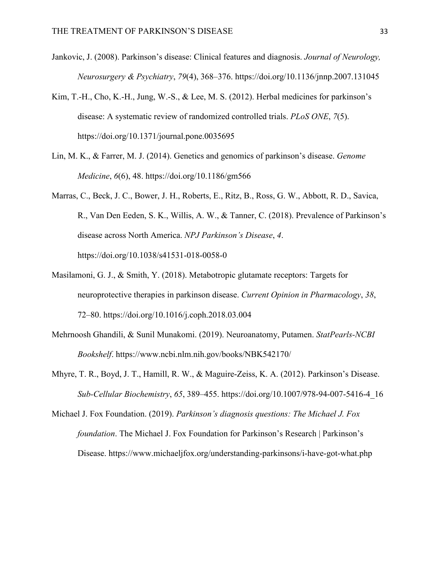- Jankovic, J. (2008). Parkinson's disease: Clinical features and diagnosis. *Journal of Neurology, Neurosurgery & Psychiatry*, *79*(4), 368–376. https://doi.org/10.1136/jnnp.2007.131045
- Kim, T.-H., Cho, K.-H., Jung, W.-S., & Lee, M. S. (2012). Herbal medicines for parkinson's disease: A systematic review of randomized controlled trials. *PLoS ONE*, *7*(5). https://doi.org/10.1371/journal.pone.0035695
- Lin, M. K., & Farrer, M. J. (2014). Genetics and genomics of parkinson's disease. *Genome Medicine*, *6*(6), 48. https://doi.org/10.1186/gm566
- Marras, C., Beck, J. C., Bower, J. H., Roberts, E., Ritz, B., Ross, G. W., Abbott, R. D., Savica, R., Van Den Eeden, S. K., Willis, A. W., & Tanner, C. (2018). Prevalence of Parkinson's disease across North America. *NPJ Parkinson's Disease*, *4*. https://doi.org/10.1038/s41531-018-0058-0
- Masilamoni, G. J., & Smith, Y. (2018). Metabotropic glutamate receptors: Targets for neuroprotective therapies in parkinson disease. *Current Opinion in Pharmacology*, *38*, 72–80. https://doi.org/10.1016/j.coph.2018.03.004
- Mehrnoosh Ghandili, & Sunil Munakomi. (2019). Neuroanatomy, Putamen. *StatPearls-NCBI Bookshelf*. https://www.ncbi.nlm.nih.gov/books/NBK542170/
- Mhyre, T. R., Boyd, J. T., Hamill, R. W., & Maguire-Zeiss, K. A. (2012). Parkinson's Disease. *Sub-Cellular Biochemistry*, *65*, 389–455. https://doi.org/10.1007/978-94-007-5416-4\_16

Michael J. Fox Foundation. (2019). *Parkinson's diagnosis questions: The Michael J. Fox foundation*. The Michael J. Fox Foundation for Parkinson's Research | Parkinson's Disease. https://www.michaeljfox.org/understanding-parkinsons/i-have-got-what.php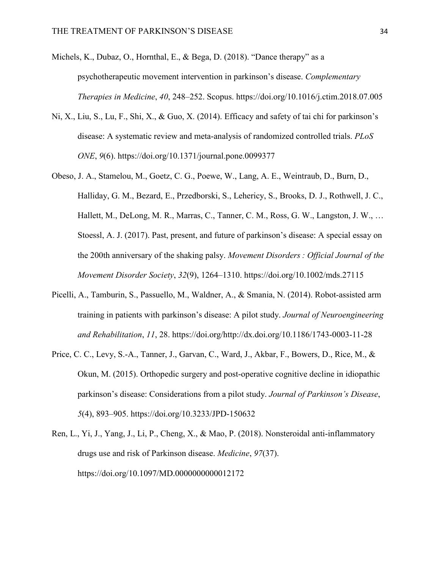Michels, K., Dubaz, O., Hornthal, E., & Bega, D. (2018). "Dance therapy" as a psychotherapeutic movement intervention in parkinson's disease. *Complementary Therapies in Medicine*, *40*, 248–252. Scopus. https://doi.org/10.1016/j.ctim.2018.07.005

- Ni, X., Liu, S., Lu, F., Shi, X., & Guo, X. (2014). Efficacy and safety of tai chi for parkinson's disease: A systematic review and meta-analysis of randomized controlled trials. *PLoS ONE*, *9*(6). https://doi.org/10.1371/journal.pone.0099377
- Obeso, J. A., Stamelou, M., Goetz, C. G., Poewe, W., Lang, A. E., Weintraub, D., Burn, D., Halliday, G. M., Bezard, E., Przedborski, S., Lehericy, S., Brooks, D. J., Rothwell, J. C., Hallett, M., DeLong, M. R., Marras, C., Tanner, C. M., Ross, G. W., Langston, J. W., … Stoessl, A. J. (2017). Past, present, and future of parkinson's disease: A special essay on the 200th anniversary of the shaking palsy. *Movement Disorders : Official Journal of the Movement Disorder Society*, *32*(9), 1264–1310. https://doi.org/10.1002/mds.27115
- Picelli, A., Tamburin, S., Passuello, M., Waldner, A., & Smania, N. (2014). Robot-assisted arm training in patients with parkinson's disease: A pilot study. *Journal of Neuroengineering and Rehabilitation*, *11*, 28. https://doi.org/http://dx.doi.org/10.1186/1743-0003-11-28
- Price, C. C., Levy, S.-A., Tanner, J., Garvan, C., Ward, J., Akbar, F., Bowers, D., Rice, M., & Okun, M. (2015). Orthopedic surgery and post-operative cognitive decline in idiopathic parkinson's disease: Considerations from a pilot study. *Journal of Parkinson's Disease*, *5*(4), 893–905. https://doi.org/10.3233/JPD-150632
- Ren, L., Yi, J., Yang, J., Li, P., Cheng, X., & Mao, P. (2018). Nonsteroidal anti-inflammatory drugs use and risk of Parkinson disease. *Medicine*, *97*(37). https://doi.org/10.1097/MD.0000000000012172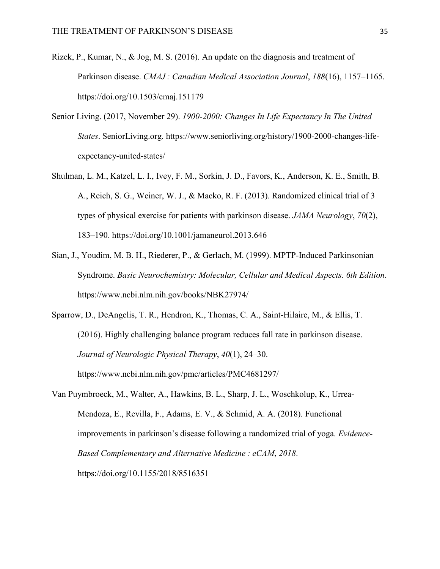- Rizek, P., Kumar, N., & Jog, M. S. (2016). An update on the diagnosis and treatment of Parkinson disease. *CMAJ : Canadian Medical Association Journal*, *188*(16), 1157–1165. https://doi.org/10.1503/cmaj.151179
- Senior Living. (2017, November 29). *1900-2000: Changes In Life Expectancy In The United States*. SeniorLiving.org. https://www.seniorliving.org/history/1900-2000-changes-lifeexpectancy-united-states/
- Shulman, L. M., Katzel, L. I., Ivey, F. M., Sorkin, J. D., Favors, K., Anderson, K. E., Smith, B. A., Reich, S. G., Weiner, W. J., & Macko, R. F. (2013). Randomized clinical trial of 3 types of physical exercise for patients with parkinson disease. *JAMA Neurology*, *70*(2), 183–190. https://doi.org/10.1001/jamaneurol.2013.646
- Sian, J., Youdim, M. B. H., Riederer, P., & Gerlach, M. (1999). MPTP-Induced Parkinsonian Syndrome. *Basic Neurochemistry: Molecular, Cellular and Medical Aspects. 6th Edition*. https://www.ncbi.nlm.nih.gov/books/NBK27974/

Sparrow, D., DeAngelis, T. R., Hendron, K., Thomas, C. A., Saint-Hilaire, M., & Ellis, T. (2016). Highly challenging balance program reduces fall rate in parkinson disease. *Journal of Neurologic Physical Therapy*, *40*(1), 24–30. https://www.ncbi.nlm.nih.gov/pmc/articles/PMC4681297/

Van Puymbroeck, M., Walter, A., Hawkins, B. L., Sharp, J. L., Woschkolup, K., Urrea-Mendoza, E., Revilla, F., Adams, E. V., & Schmid, A. A. (2018). Functional improvements in parkinson's disease following a randomized trial of yoga. *Evidence-Based Complementary and Alternative Medicine : eCAM*, *2018*. https://doi.org/10.1155/2018/8516351